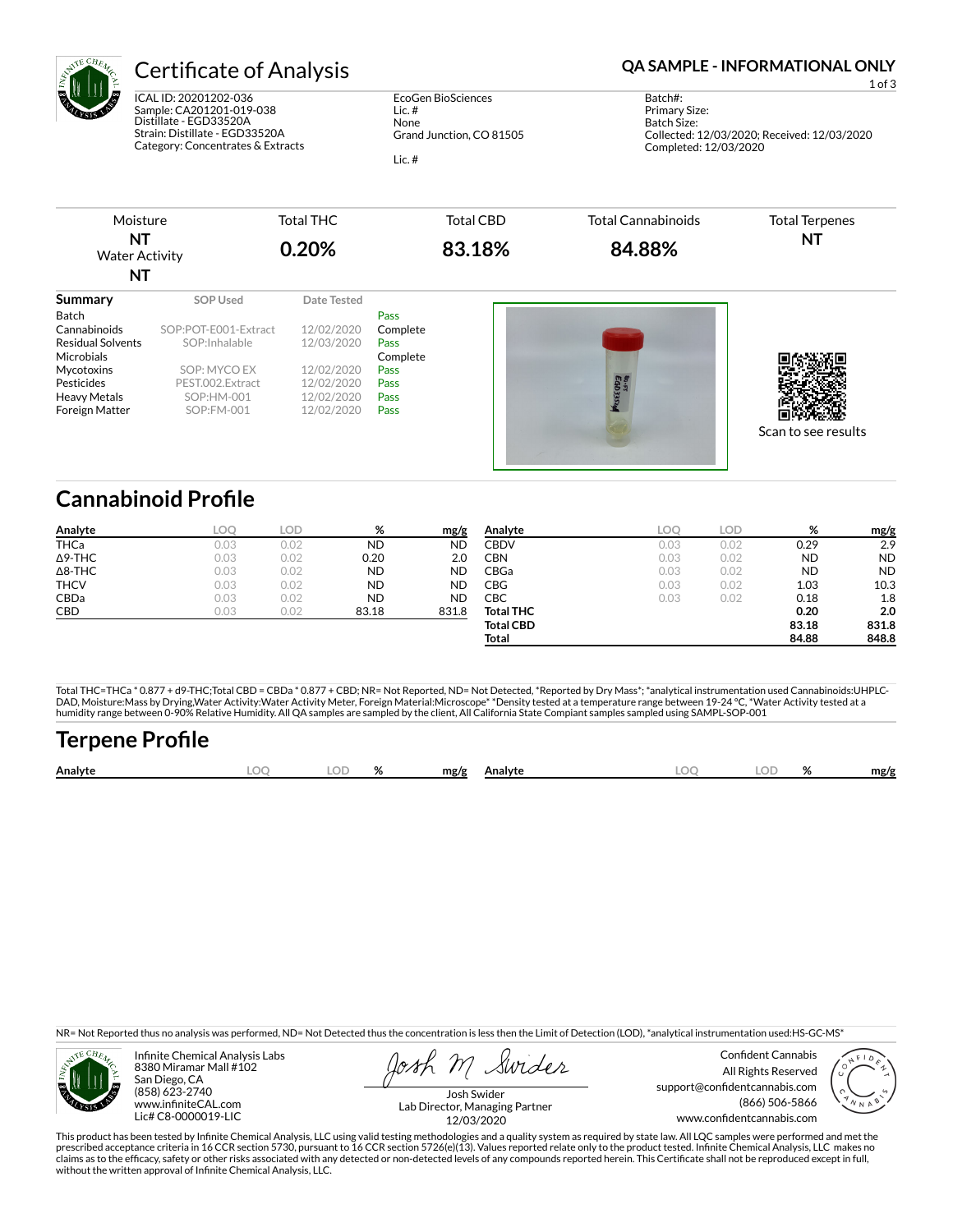

Foreign Matter

PEST.002.Extract 12/02/2020 Pass

ICAL ID: 20201202-036 Sample: CA201201-019-038 Distillate - EGD33520A Strain: Distillate - EGD33520A Category: Concentrates & Extracts

Heavy Metals SOP:HM-001 12/02/2020 Pass<br>
Foreign Matter SOP:FM-001 12/02/2020 Pass

EcoGen BioSciences Lic. # None Grand Junction, CO 81505 Lic. #

## Certificate of Analysis **Certificate of Analysis QA SAMPLE - INFORMATIONAL ONLY**

Batch#: Primary Size: Batch Size: Collected: 12/03/2020; Received: 12/03/2020 Completed: 12/03/2020

Scan to see results

1 of 3

Moisture **NT** Water Activity **NT** Total THC **0.20%** Total CBD **83.18%** Total Cannabinoids **84.88%** Total Terpenes **NT Summary SOP Used** Date Tested Batch **Pass** Cannabinoids SOP:POT-E001-Extract 12/02/2020 Complete Residual Solvents SOP:Inhalable 12/03/2020 Pass<br>Microbials Com Complete Mycotoxins SOP: MYCO EX 12/02/2020 Pass<br>
Pesticides PEST.002.Extract 12/02/2020 Pass

**Cannabinoid Profile** 

| Analyte        | LOO  | <b>LOD</b> | %         | mg/g      | Analyte          | LOC  | <b>LOD</b> | %         | mg/g      |
|----------------|------|------------|-----------|-----------|------------------|------|------------|-----------|-----------|
| THCa           | 0.03 | 0.02       | <b>ND</b> | <b>ND</b> | <b>CBDV</b>      | 0.03 | 0.02       | 0.29      | 2.9       |
| $\Delta$ 9-THC | 0.03 | 0.02       | 0.20      | 2.0       | CBN              | 0.03 | 0.02       | <b>ND</b> | <b>ND</b> |
| $\Delta$ 8-THC | 0.03 | 0.02       | <b>ND</b> | <b>ND</b> | CBGa             | 0.03 | 0.02       | <b>ND</b> | <b>ND</b> |
| <b>THCV</b>    | 0.03 | 0.02       | <b>ND</b> | <b>ND</b> | CBG              | 0.03 | 0.02       | 1.03      | 10.3      |
| <b>CBDa</b>    | 0.03 | 0.02       | <b>ND</b> | <b>ND</b> | CBC              | 0.03 | 0.02       | 0.18      | 1.8       |
| CBD            | 0.03 | 0.02       | 83.18     | 831.8     | <b>Total THC</b> |      |            | 0.20      | 2.0       |
|                |      |            |           |           | <b>Total CBD</b> |      |            | 83.18     | 831.8     |
|                |      |            |           |           | Total            |      |            | 84.88     | 848.8     |

Total THC=THCa \* 0.877 + d9-THC;Total CBD = CBDa \* 0.877 + CBD; NR= Not Reported, ND= Not Detected, \*Reported by Dry Mass\*; \*analytical instrumentation used Cannabinoids:UHPLC-DAD, Moisture:Mass by Drying,Water Activity:Water Activity Meter, Foreign Material:Microscope\* \*Density tested at a temperature range between 19-24 °C, \*Water Activity tested at a<br>humidity range between 0-90% Relative Humi

## Terpene Profile

| Analyte | OC | $\cap$ | ົ | mg/g | Analyte | $\bigcap$ | Ω<br>$\sqrt{2}$ | mg/g |
|---------|----|--------|---|------|---------|-----------|-----------------|------|
|         |    |        |   |      |         |           |                 |      |

NR= Not Reported thus no analysis was performed, ND= Not Detected thus the concentration is less then the Limit of Detection (LOD), \*analytical instrumentation used:HS-GC-MS\*



Infinite Chemical Analysis Labs 8380 Miramar Mall #102 San Diego, CA (858) 623-2740 www.infiniteCAL.com Lic# C8-0000019-LIC

Swides

Confident Cannabis All Rights Reserved support@confidentcannabis.com (866) 506-5866 www.confidentcannabis.com



Josh Swider Lab Director, Managing Partner 12/03/2020

This product has been tested by Infinite Chemical Analysis, LLC using valid testing methodologies and a quality system as required by state law. All LQC samples were performed and met the prescribed acceptance criteria in 16 CCR section 5730, pursuant to 16 CCR section 5726(e)(13). Values reported relate only to the product tested. Infinite Chemical Analysis, LLC makes no<br>claims as to the efficacy, safety o without the written approval of Infinite Chemical Analysis, LLC.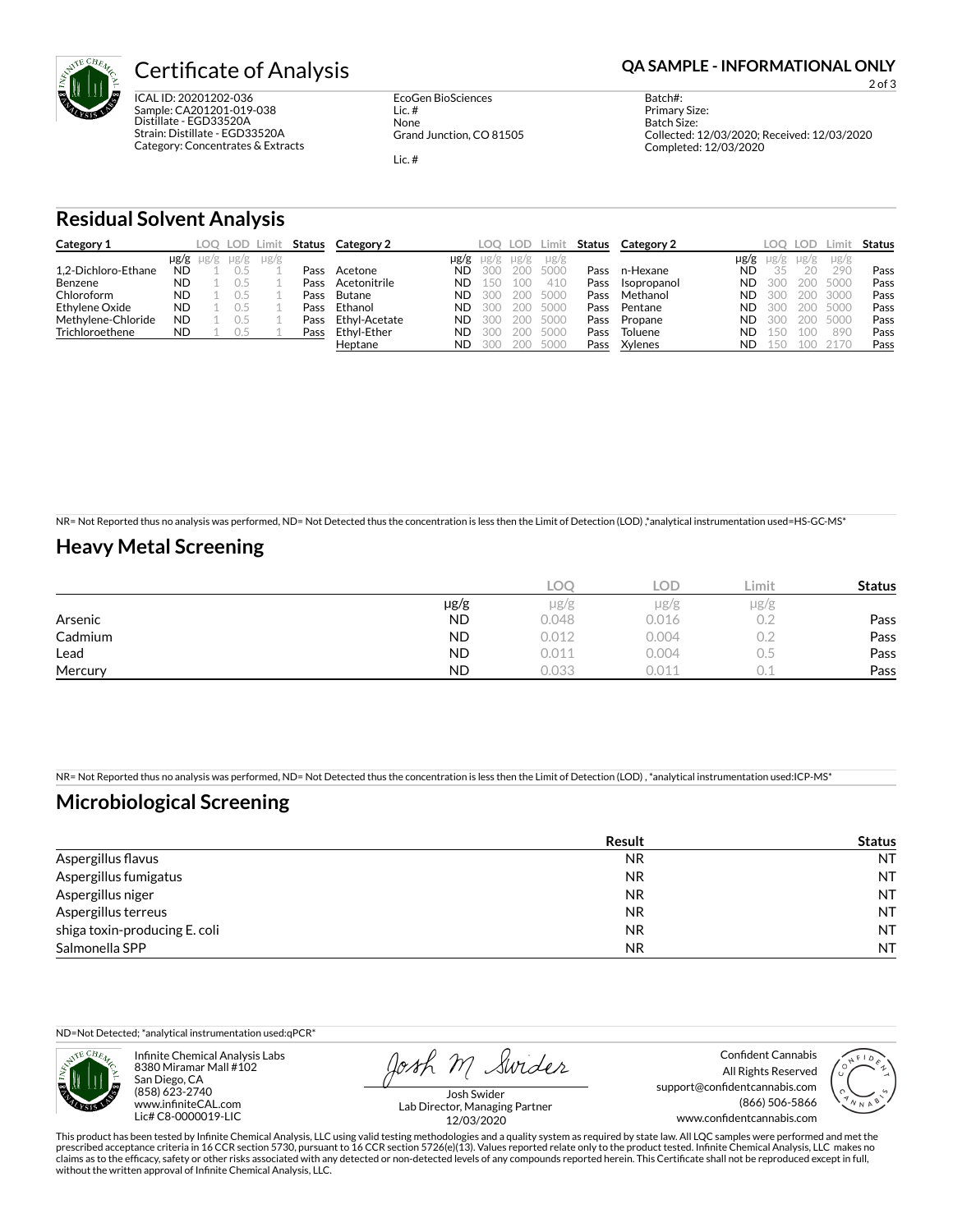

# **Certificate of Analysis <b>Certificate of Analysis QA SAMPLE - INFORMATIONAL ONLY**

ICAL ID: 20201202-036 Sample: CA201201-019-038 Distillate - EGD33520A Strain: Distillate - EGD33520A Category: Concentrates & Extracts

EcoGen BioSciences Lic. # None Grand Junction, CO 81505 Lic. #

2 of 3

Batch#: Primary Size: Batch Size: Collected: 12/03/2020; Received: 12/03/2020 Completed: 12/03/2020

#### **Residual Solvent Analysis**

| Category 1          |           |                     |           | LOO LOD Limit |      | <b>Status</b> Category 2 |           | LOO  | LOD. | Limit     | Status | Category 2     |           | LOO | <b>LOD</b> | Limit     | Status |
|---------------------|-----------|---------------------|-----------|---------------|------|--------------------------|-----------|------|------|-----------|--------|----------------|-----------|-----|------------|-----------|--------|
|                     |           | $\mu$ g/g $\mu$ g/g | $\mu$ g/g | $\mu$ g/g     |      |                          | µg/g      | Ug/g | ug/g | $\mu$ g/g |        |                | µg/g      |     | $\mu$ g/g  | $\mu$ g/g |        |
| 1.2-Dichloro-Ethane | <b>ND</b> |                     |           |               | Pass | Acetone                  | ND        | 300  | 200. | 5000      | Pass   | n-Hexane       | <b>ND</b> | 35  | 20         | 290       | Pass   |
| Benzene             | <b>ND</b> |                     |           |               | Pass | Acetonitrile             | <b>ND</b> | 150  | 100  | 410       | Pass   | Isopropanol    | <b>ND</b> | 300 | 200        | 5000      | Pass   |
| Chloroform          | <b>ND</b> |                     |           |               | Pass | Butane                   | <b>ND</b> | 300  | 200. | 5000      | Pass   | Methanol       | <b>ND</b> | 300 | 200        | 3000      | Pass   |
| Ethylene Oxide      | <b>ND</b> |                     |           |               | Pass | Ethanol                  | <b>ND</b> | 300  | 200. | 5000      | Pass   | Pentane        | <b>ND</b> | 300 | 200        | 5000      | Pass   |
| Methylene-Chloride  | <b>ND</b> |                     |           |               | Pass | Ethyl-Acetate            | <b>ND</b> | 300  | 200- | 5000      | Pass   | Propane        | <b>ND</b> | 300 | 200        | 5000      | Pass   |
| Trichloroethene     | <b>ND</b> |                     | 0.5       |               | Pass | Ethyl-Ether              | <b>ND</b> | 300  | 200. | 5000      | Pass   | Toluene        | ND        | 15C | 100        | 890       | Pass   |
|                     |           |                     |           |               |      | Heptane                  | <b>ND</b> | .300 | 200  | 5000      | Pass   | <b>Xylenes</b> | <b>ND</b> | 5(  | 100        | 2170      | Pass   |

NR= Not Reported thus no analysis was performed, ND= Not Detected thus the concentration is less then the Limit of Detection (LOD) ,\*analytical instrumentation used=HS-GC-MS\*

### **Heavy Metal Screening**

|         |           | LOC   | <b>LOD</b> | Limit. | <b>Status</b> |
|---------|-----------|-------|------------|--------|---------------|
|         | µg/g      | µg/g  | $\mu$ g/g  | µg/g   |               |
| Arsenic | <b>ND</b> | 0.048 | 0.016      | 0.2    | Pass          |
| Cadmium | <b>ND</b> | 0.012 | 0.004      | 0.2    | Pass          |
| Lead    | <b>ND</b> | 0.011 | 0.004      | U.5    | Pass          |
| Mercury | <b>ND</b> | 0.033 | 0.011      |        | Pass          |

NR= Not Reported thus no analysis was performed, ND= Not Detected thus the concentration is less then the Limit of Detection (LOD) , \*analytical instrumentation used:ICP-MS\*

### **Microbiological Screening**

|                               | Result    | <b>Status</b> |
|-------------------------------|-----------|---------------|
| Aspergillus flavus            | <b>NR</b> | <b>NT</b>     |
| Aspergillus fumigatus         | <b>NR</b> | <b>NT</b>     |
| Aspergillus niger             | <b>NR</b> | <b>NT</b>     |
| Aspergillus terreus           | <b>NR</b> | <b>NT</b>     |
| shiga toxin-producing E. coli | <b>NR</b> | <b>NT</b>     |
| Salmonella SPP                | <b>NR</b> | <b>NT</b>     |

ND=Not Detected; \*analytical instrumentation used:qPCR\*



Infinite Chemical Analysis Labs 8380 Miramar Mall #102 San Diego, CA (858) 623-2740 www.infiniteCAL.com Lic# C8-0000019-LIC

Josh M Swider

Confident Cannabis All Rights Reserved support@confidentcannabis.com (866) 506-5866 www.confidentcannabis.com



Josh Swider Lab Director, Managing Partner 12/03/2020

This product has been tested by Infinite Chemical Analysis, LLC using valid testing methodologies and a quality system as required by state law. All LQC samples were performed and met the prescribed acceptance criteria in 16 CCR section 5730, pursuant to 16 CCR section 5726(e)(13). Values reported relate only to the product tested. Infinite Chemical Analysis, LLC makes no<br>claims as to the efficacy, safety o without the written approval of Infinite Chemical Analysis, LLC.